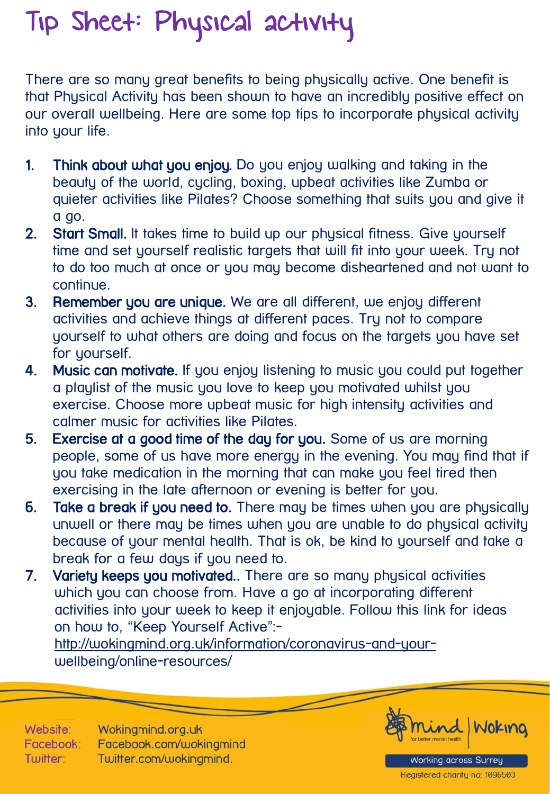## Tip Sheet: Physical activity

There are so many great benefits to being physically active. One benefit is that Physical Activity has been shown to have an incredibly positive effect on our overall wellbeing. Here are some top tips to incorporate physical activity into your life.

- 1. Think about what you enjoy. Do you enjoy walking and taking in the beauty of the world, cycling, boxing, upbeat activities like Zumba or quieter activities like Pilates? Choose something that suits you and give it a go.
- 2. Start Small. It takes time to build up our physical fitness. Give yourself time and set yourself realistic targets that will fit into your week. Try not to do too much at once or you may become disheartened and not want to continue.
- 3. Remember you are unique. We are all different, we enjoy different activities and achieve things at different paces. Try not to compare yourself to what others are doing and focus on the targets you have set for yourself.
- 4. Music can motivate. If you enjoy listening to music you could put together a playlist of the music you love to keep you motivated whilst you exercise. Choose more upbeat music for high intensity activities and calmer music for activities like Pilates.
- 5. Exercise at a good time of the day for you. Some of us are morning people, some of us have more energy in the evening. You may find that if you take medication in the morning that can make you feel tired then exercising in the late afternoon or evening is better for you.
- 6. Take a break if you need to. There may be times when you are physically unwell or there may be times when you are unable to do physical activity because of your mental health. That is ok, be kind to yourself and take a break for a few days if you need to.
- 7. Variety keeps you motivated.. There are so many physical activities which you can choose from. Have a go at incorporating different activities into your week to keep it enjoyable. Follow this link for ideas on how to, "Keep Yourself Active":-

[http://wokingmind.org.uk/information/coronavirus-and-your](http://wokingmind.org.uk/information/coronavirus-and-your-)wellbeing/online-resources/

Website: Wokingmind.org.uk Facebook.com/wokingmind Facebook: Twitter.com/wokingmind. Twitter:



Working across Surrey Registered charity no: 1096503